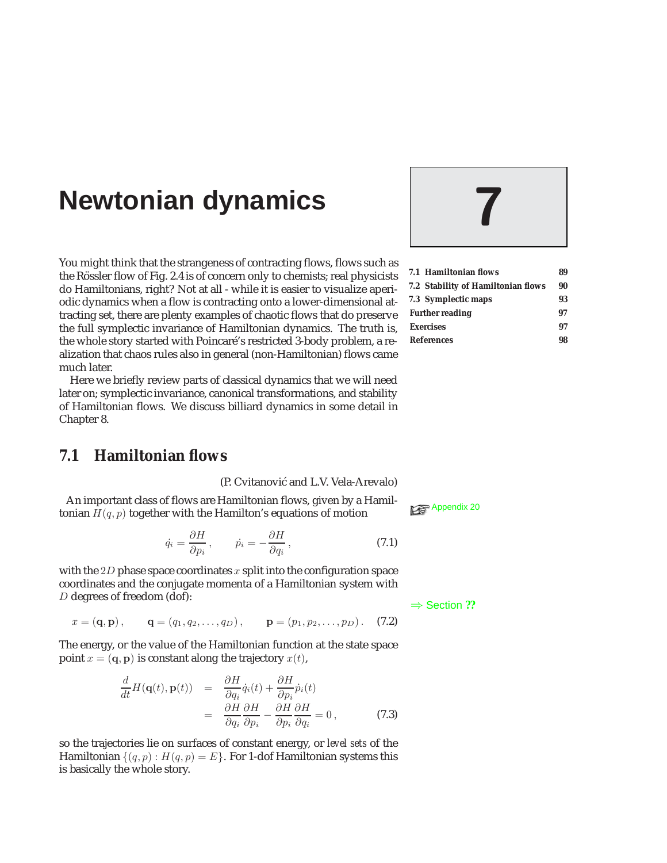# **Newtonian dynamics 7**

You might think that the strangeness of contracting flows, flows such as the Rössler flow of Fig. 2.4 is of concern only to chemists; real physicists do Hamiltonians, right? Not at all - while it is easier to visualize aperiodic dynamics when a flow is contracting onto a lower-dimensional attracting set, there are plenty examples of chaotic flows that do preserve the full symplectic invariance of Hamiltonian dynamics. The truth is, the whole story started with Poincaré's restricted 3-body problem, a realization that chaos rules also in general (non-Hamiltonian) flows came much later.

Here we briefly review parts of classical dynamics that we will need later on; symplectic invariance, canonical transformations, and stability of Hamiltonian flows. We discuss billiard dynamics in some detail in Chapter 8.

# **7.1 Hamiltonian flows**

(P. Cvitanović and L.V. Vela-Arevalo)

An important class of flows are Hamiltonian flows, given by a Hamiltonian  $H(q, p)$  together with the Hamilton's equations of motion

$$
\dot{q}_i = \frac{\partial H}{\partial p_i}, \qquad \dot{p}_i = -\frac{\partial H}{\partial q_i}, \qquad (7.1)
$$

with the 2D phase space coordinates  $x$  split into the configuration space coordinates and the conjugate momenta of a Hamiltonian system with  $D$  degrees of freedom (dof):  $\Rightarrow$  Section **??** 

 $x = (\mathbf{q}, \mathbf{p}), \quad \mathbf{q} = (q_1, q_2, \dots, q_D), \quad \mathbf{p} = (p_1, p_2, \dots, p_D).$  (7.2)

The energy, or the value of the Hamiltonian function at the state space point  $x = (\mathbf{q}, \mathbf{p})$  is constant along the trajectory  $x(t)$ ,

$$
\frac{d}{dt}H(\mathbf{q}(t), \mathbf{p}(t)) = \frac{\partial H}{\partial q_i} \dot{q}_i(t) + \frac{\partial H}{\partial p_i} \dot{p}_i(t)
$$
\n
$$
= \frac{\partial H}{\partial q_i} \frac{\partial H}{\partial p_i} - \frac{\partial H}{\partial p_i} \frac{\partial H}{\partial q_i} = 0,
$$
\n(7.3)

so the trajectories lie on surfaces of constant energy, or *level sets* of the Hamiltonian  $\{(q, p) : H(q, p) = E\}$ . For 1-dof Hamiltonian systems this is basically the whole story.



|                        | 7.1 Hamiltonian flows              | 89 |
|------------------------|------------------------------------|----|
|                        | 7.2 Stability of Hamiltonian flows | 90 |
|                        | 7.3 Symplectic maps                | 93 |
| <b>Further reading</b> |                                    | 97 |
| <b>Exercises</b>       |                                    | 97 |
| <b>References</b>      |                                    | 98 |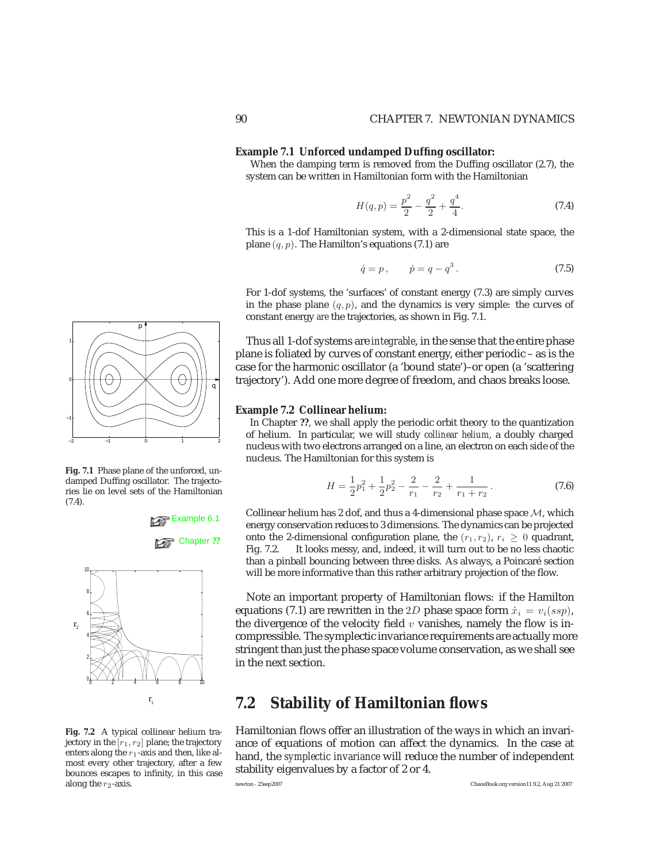#### **Example 7.1 Unforced undamped Duffing oscillator:**

When the damping term is removed from the Duffing oscillator (2.7), the system can be written in Hamiltonian form with the Hamiltonian

$$
H(q, p) = \frac{p^2}{2} - \frac{q^2}{2} + \frac{q^4}{4}.
$$
 (7.4)

This is a 1-dof Hamiltonian system, with a 2-dimensional state space, the plane  $(q, p)$ . The Hamilton's equations (7.1) are

$$
\dot{q} = p, \qquad \dot{p} = q - q^3. \tag{7.5}
$$

For 1-dof systems, the 'surfaces' of constant energy (7.3) are simply curves in the phase plane  $(q, p)$ , and the dynamics is very simple: the curves of constant energy *are* the trajectories, as shown in Fig. 7.1.

Thus all 1-dof systems are *integrable*, in the sense that the entire phase plane is foliated by curves of constant energy, either periodic – as is the case for the harmonic oscillator (a 'bound state')–or open (a 'scattering trajectory'). Add one more degree of freedom, and chaos breaks loose.

#### **Example 7.2 Collinear helium:**

In Chapter **??**, we shall apply the periodic orbit theory to the quantization of helium. In particular, we will study *collinear helium*, a doubly charged nucleus with two electrons arranged on a line, an electron on each side of the nucleus. The Hamiltonian for this system is

$$
H = \frac{1}{2}p_1^2 + \frac{1}{2}p_2^2 - \frac{2}{r_1} - \frac{2}{r_2} + \frac{1}{r_1 + r_2}.
$$
 (7.6)

Collinear helium has 2 dof, and thus a 4-dimensional phase space  $M$ , which energy conservation reduces to 3 dimensions. The dynamics can be projected onto the 2-dimensional configuration plane, the  $(r_1, r_2)$ ,  $r_i \ge 0$  quadrant, Fig. 7.2. It looks messy, and, indeed, it will turn out to be no less chaotic It looks messy, and, indeed, it will turn out to be no less chaotic than a pinball bouncing between three disks. As always, a Poincaré section will be more informative than this rather arbitrary projection of the flow.

Note an important property of Hamiltonian flows: if the Hamilton equations (7.1) are rewritten in the 2D phase space form  $\dot{x}_i = v_i(ssp)$ , the divergence of the velocity field  $v$  vanishes, namely the flow is incompressible. The symplectic invariance requirements are actually more stringent than just the phase space volume conservation, as we shall see in the next section.

# **7.2 Stability of Hamiltonian flows**

Hamiltonian flows offer an illustration of the ways in which an invariance of equations of motion can affect the dynamics. In the case at hand, the *symplectic invariance* will reduce the number of independent stability eigenvalues by a factor of 2 or 4.



**Fig. 7.1** Phase plane of the unforced, undamped Duffing oscillator. The trajectories lie on level sets of the Hamiltonian (7.4).





**Fig. 7.2** A typical collinear helium trajectory in the  $[r_1, r_2]$  plane; the trajectory enters along the  $r_1$ -axis and then, like almost every other trajectory, after a few bounces escapes to infinity, in this case

along the  $r_2$ -axis.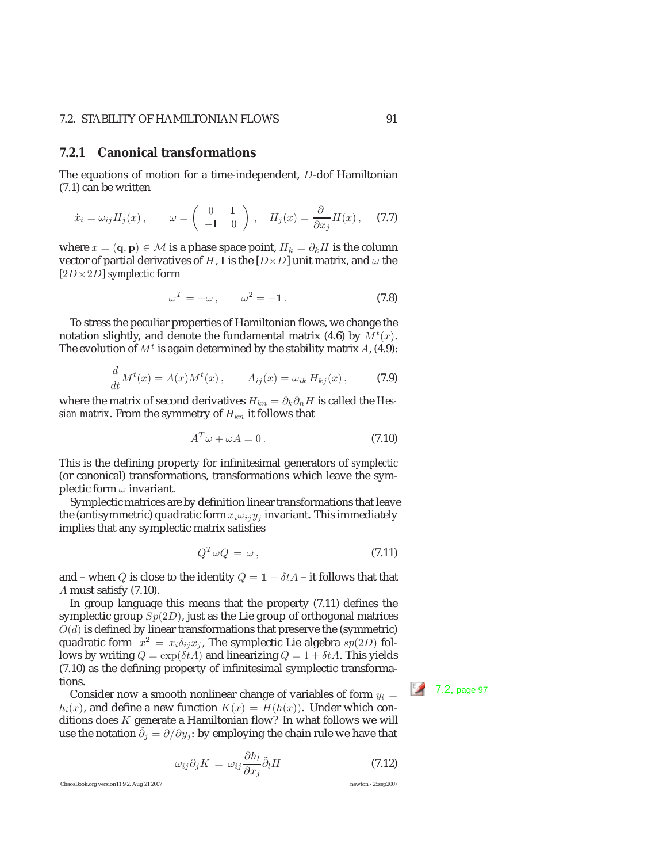### 7.2. STABILITY OF HAMILTONIAN FLOWS 91

### **7.2.1 Canonical transformations**

The equations of motion for a time-independent, D-dof Hamiltonian (7.1) can be written

$$
\dot{x}_i = \omega_{ij} H_j(x), \qquad \omega = \begin{pmatrix} 0 & \mathbf{I} \\ -\mathbf{I} & 0 \end{pmatrix}, \quad H_j(x) = \frac{\partial}{\partial x_j} H(x), \quad (7.7)
$$

where  $x = (\mathbf{q}, \mathbf{p}) \in \mathcal{M}$  is a phase space point,  $H_k = \partial_k H$  is the column vector of partial derivatives of H, I is the  $[D \times D]$  unit matrix, and  $\omega$  the [2D×2D] *symplectic* form

$$
\omega^T = -\omega \,, \qquad \omega^2 = -1 \,. \tag{7.8}
$$

To stress the peculiar properties of Hamiltonian flows, we change the notation slightly, and denote the fundamental matrix (4.6) by  $\breve{M}^{t}(x)$ . The evolution of  $M<sup>t</sup>$  is again determined by the stability matrix A, (4.9):

$$
\frac{d}{dt}M^{t}(x) = A(x)M^{t}(x), \qquad A_{ij}(x) = \omega_{ik} H_{kj}(x), \qquad (7.9)
$$

where the matrix of second derivatives  $H_{kn} = \partial_k \partial_n H$  is called the *Hessian matrix.* From the symmetry of  $H_{kn}$  it follows that

$$
A^T \omega + \omega A = 0. \tag{7.10}
$$

This is the defining property for infinitesimal generators of *symplectic* (or canonical) transformations, transformations which leave the symplectic form  $\omega$  invariant.

Symplectic matrices are by definition linear transformations that leave the (antisymmetric) quadratic form  $x_i \omega_{ij} y_j$  invariant. This immediately implies that any symplectic matrix satisfies

$$
Q^T \omega Q = \omega, \qquad (7.11)
$$

and – when Q is close to the identity  $Q = 1 + \delta t A$  – it follows that that A must satisfy (7.10).

In group language this means that the property (7.11) defines the symplectic group  $Sp(2D)$ , just as the Lie group of orthogonal matrices  $O(d)$  is defined by linear transformations that preserve the (symmetric) quadratic form  $x^2 = x_i \delta_{ij} x_j$ , The symplectic Lie algebra  $sp(2D)$  follows by writing  $Q = \exp(\delta t A)$  and linearizing  $Q = 1 + \delta t A$ . This yields (7.10) as the defining property of infinitesimal symplectic transformations.<br>Consider now a smooth nonlinear change of variables of form  $y_i = \sqrt{7.2}$ , page 97

 $h_i(x)$ , and define a new function  $K(x) = H(h(x))$ . Under which conditions does  $K$  generate a Hamiltonian flow? In what follows we will use the notation  $\widetilde{\partial}_j = \partial/\partial y_j$ : by employing the chain rule we have that

$$
\omega_{ij}\partial_j K = \omega_{ij}\frac{\partial h_l}{\partial x_j}\tilde{\partial}_l H \tag{7.12}
$$

ChaosBook.org version11.9.2, Aug 21 2007 newton - 25sep2007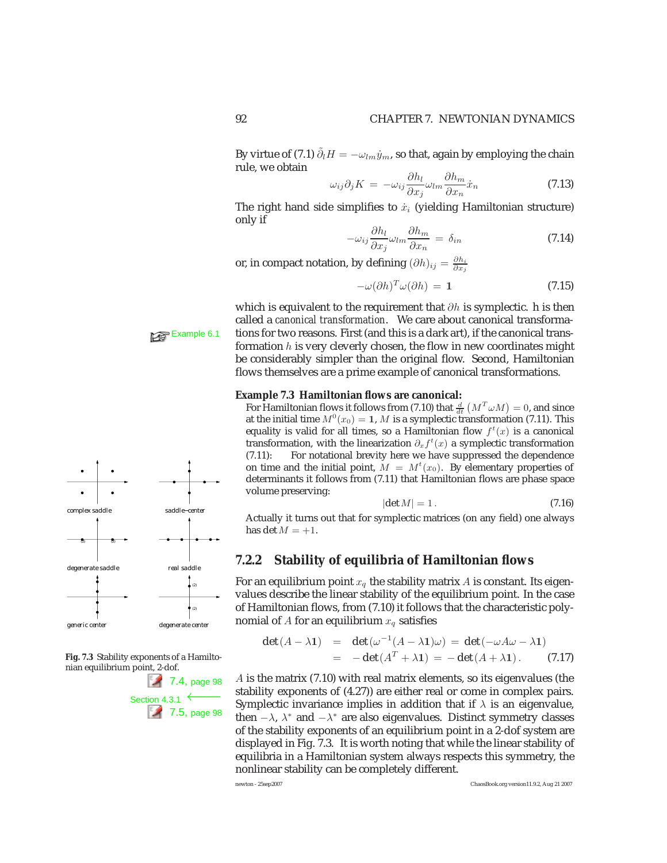By virtue of (7.1)  $\tilde{\partial_l} H = -\omega_{lm}\dot{y}_m$ , so that, again by employing the chain rule, we obtain

$$
\omega_{ij}\partial_j K = -\omega_{ij}\frac{\partial h_l}{\partial x_j}\omega_{lm}\frac{\partial h_m}{\partial x_n}\dot{x}_n\tag{7.13}
$$

The right hand side simplifies to  $\dot{x}_i$  (yielding Hamiltonian structure) only if

$$
-\omega_{ij}\frac{\partial h_l}{\partial x_j}\omega_{lm}\frac{\partial h_m}{\partial x_n} = \delta_{in}
$$
\n(7.14)

or, in compact notation, by defining  $(\partial h)_{ij} = \frac{\partial h_i}{\partial x_j}$ 

$$
-\omega(\partial h)^T \omega(\partial h) = 1 \tag{7.15}
$$

which is equivalent to the requirement that  $\partial h$  is symplectic. h is then called a *canonical transformation*. We care about canonical transforma-**Example 6.1** tions for two reasons. First (and this is a dark art), if the canonical transformation  $h$  is very cleverly chosen, the flow in new coordinates might be considerably simpler than the original flow. Second, Hamiltonian flows themselves are a prime example of canonical transformations.

#### **Example 7.3 Hamiltonian flows are canonical:**

For Hamiltonian flows it follows from (7.10) that  $\frac{d}{dt} (M^T \omega M) = 0$ , and since at the initial time  $M^0(x_0) = 1$ , M is a symplectic transformation (7.11). This equality is valid for all times, so a Hamiltonian flow  $f^t(x)$  is a canonical<br>transformation with the linearization  $\partial f^t(x)$  a symplectic transformation transformation, with the linearization  $\partial_x f^t(x)$  a symplectic transformation (7.11). For notational brevity here we have suppressed the dependence (7.11): For notational brevity here we have suppressed the dependence on time and the initial point,  $\tilde{M} = M^t(x_0)$ . By elementary properties of determinants it follows from (7.11) that Hamiltonian flows are phase space determinants it follows from (7.11) that Hamiltonian flows are phase space volume preserving:

$$
|\det M| = 1. \tag{7.16}
$$

 $|det M| = 1.$  (7.16)<br>Actually it turns out that for symplectic matrices (on any field) one always has det  $M = +1$ .

# **7.2.2 Stability of equilibria of Hamiltonian flows**

For an equilibrium point  $x_q$  the stability matrix A is constant. Its eigenvalues describe the linear stability of the equilibrium point. In the case of Hamiltonian flows, from (7.10) it follows that the characteristic polynomial of A for an equilibrium  $x_q$  satisfies

$$
\det(A - \lambda 1) = \det(\omega^{-1}(A - \lambda 1)\omega) = \det(-\omega A\omega - \lambda 1)
$$
  
= -\det(A<sup>T</sup> + \lambda 1) = -\det(A + \lambda 1). (7.17)

A is the matrix (7.10) with real matrix elements, so its eigenvalues (the stability exponents of (4.27)) are either real or come in complex pairs. Symplectic invariance implies in addition that if  $\lambda$  is an eigenvalue, then  $-\lambda$ ,  $\lambda^*$  and  $-\lambda^*$  are also eigenvalues. Distinct symmetry classes of the stability exponents of an equilibrium point in a 2-dof system are displayed in Fig. 7.3. It is worth noting that while the linear stability of equilibria in a Hamiltonian system always respects this symmetry, the nonlinear stability can be completely different.



**Fig. 7.3** Stability exponents of a Hamiltonian equilibrium point, 2-dof.

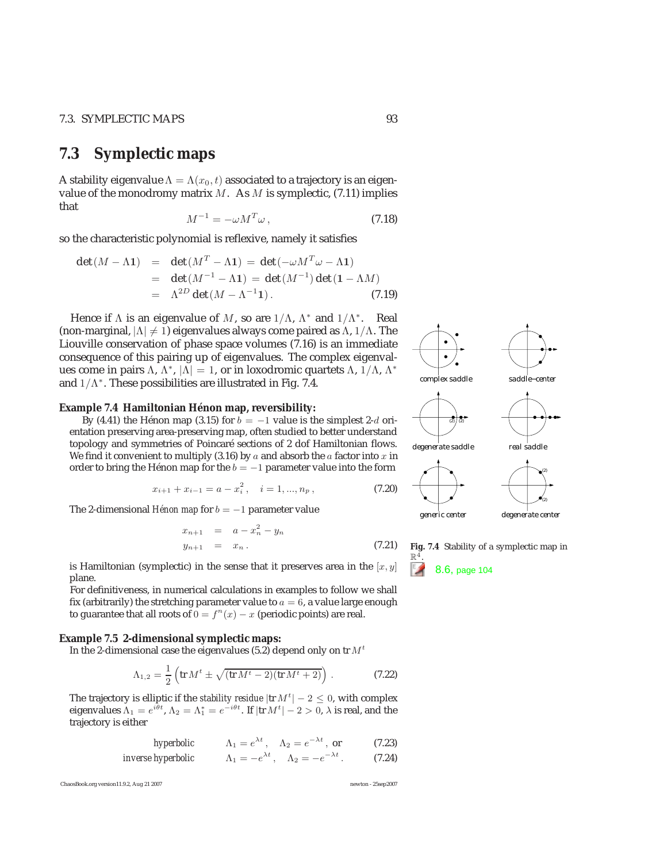# **7.3 Symplectic maps**

A stability eigenvalue  $\Lambda = \Lambda(x_0, t)$  associated to a trajectory is an eigenvalue of the monodromy matrix  $M$ . As  $M$  is symplectic, (7.11) implies that

$$
M^{-1} = -\omega M^T \omega \,,\tag{7.18}
$$

so the characteristic polynomial is reflexive, namely it satisfies

$$
\det(M - \Lambda \mathbf{1}) = \det(M^T - \Lambda \mathbf{1}) = \det(-\omega M^T \omega - \Lambda \mathbf{1})
$$
  
= 
$$
\det(M^{-1} - \Lambda \mathbf{1}) = \det(M^{-1}) \det(\mathbf{1} - \Lambda M)
$$
  
= 
$$
\Lambda^{2D} \det(M - \Lambda^{-1} \mathbf{1}).
$$
 (7.19)

Hence if  $\Lambda$  is an eigenvalue of M, so are  $1/\Lambda$ ,  $\Lambda^*$  and  $1/\Lambda^*$ . Real (non-marginal,  $|\Lambda| \neq 1$ ) eigenvalues always come paired as  $\Lambda$ , 1/ $\Lambda$ . The Liouville conservation of phase space volumes (7.16) is an immediate consequence of this pairing up of eigenvalues. The complex eigenvalues come in pairs Λ, Λ<sup>\*</sup>,  $|\Lambda| = 1$ , or in loxodromic quartets Λ, 1/Λ, Λ<sup>\*</sup> and  $1/\Lambda^*$ . These possibilities are illustrated in Fig. 7.4.

#### **Example 7.4 Hamiltonian Hénon map, reversibility:**

By (4.41) the Hénon map (3.15) for  $b = -1$  value is the simplest 2-d orientation preserving area-preserving map, often studied to better understand topology and symmetries of Poincaré sections of 2 dof Hamiltonian flows. We find it convenient to multiply (3.16) by  $a$  and absorb the  $a$  factor into  $x$  in order to bring the Hénon map for the  $b = -1$  parameter value into the form

$$
x_{i+1} + x_{i-1} = a - x_i^2, \quad i = 1, ..., n_p,
$$
\n(7.20)

The 2-dimensional *Hénon map* for  $b = -1$  parameter value

$$
x_{n+1} = a - x_n^2 - y_n
$$
  
\n
$$
y_{n+1} = x_n.
$$
 (7.21)

is Hamiltonian (symplectic) in the sense that it preserves area in the  $[x, y]$ plane.

For definitiveness, in numerical calculations in examples to follow we shall fix (arbitrarily) the stretching parameter value to  $a = 6$ , a value large enough to guarantee that all roots of  $0 = f<sup>n</sup>(x) - x$  (periodic points) are real.

#### **Example 7.5 2-dimensional symplectic maps:**

In the 2-dimensional case the eigenvalues (5.2) depend only on tr  $M<sup>t</sup>$ 

$$
\Lambda_{1,2} = \frac{1}{2} \left( \text{tr} \, M^t \pm \sqrt{(\text{tr} \, M^t - 2)(\text{tr} \, M^t + 2)} \right) \,. \tag{7.22}
$$

The trajectory is elliptic if the *stability residue*  $|\text{tr } M^t| - 2 \le 0$ , with complex eigenvalues  $\Lambda_1 = e^{i\theta t}$ ,  $\Lambda_2 = \Lambda_1^* = e^{-i\theta t}$ . If  $|\text{tr } M^t| - 2 > 0$ ,  $\lambda$  is real, and the trajectory is either trajectory is either

*hyperbolic* 
$$
\Lambda_1 = e^{\lambda t}
$$
,  $\Lambda_2 = e^{-\lambda t}$ , or (7.23)  
*inverse hyperbolic*  $\Lambda_1 = -e^{\lambda t}$ ,  $\Lambda_2 = -e^{-\lambda t}$ . (7.24)

ChaosBook.org version11.9.2, Aug 21 2007 newton - 25sep2007



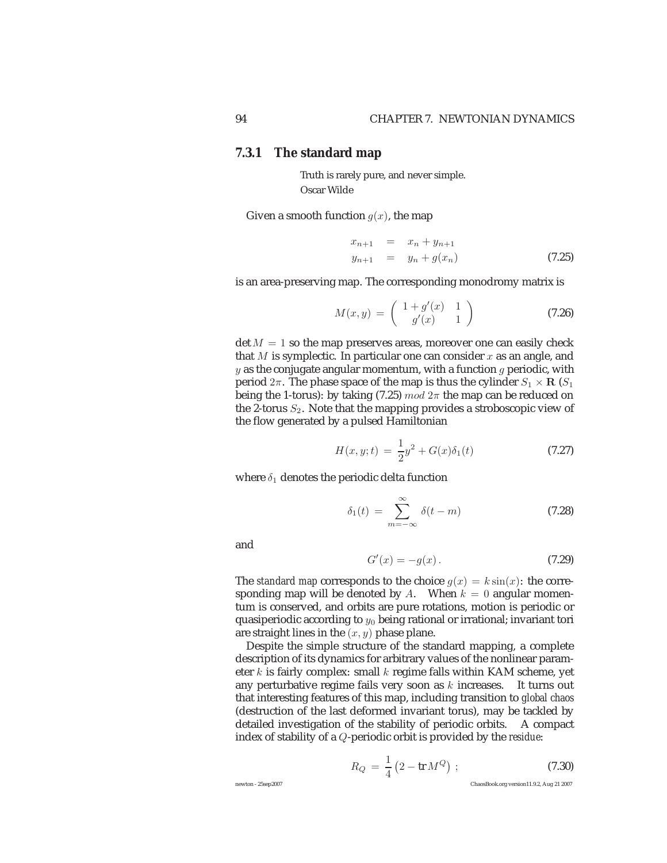## **7.3.1 The standard map**

Truth is rarely pure, and never simple. Oscar Wilde

Given a smooth function  $g(x)$ , the map

$$
x_{n+1} = x_n + y_{n+1}
$$
  
\n
$$
y_{n+1} = y_n + g(x_n)
$$
 (7.25)

is an area-preserving map. The corresponding monodromy matrix is

$$
M(x,y) = \begin{pmatrix} 1+g'(x) & 1\\ g'(x) & 1 \end{pmatrix}
$$
 (7.26)

 $\det M = 1$  so the map preserves areas, moreover one can easily check that M is symplectic. In particular one can consider  $x$  as an angle, and y as the conjugate angular momentum, with a function  $g$  periodic, with period  $2π$ . The phase space of the map is thus the cylinder  $S_1 \times \mathbf{R}$  ( $S_1$ ) being the 1-torus): by taking (7.25)  $mod 2\pi$  the map can be reduced on the 2-torus  $S_2$ . Note that the mapping provides a stroboscopic view of the flow generated by a pulsed Hamiltonian

$$
H(x, y; t) = \frac{1}{2}y^2 + G(x)\delta_1(t)
$$
\n(7.27)

where  $\delta_1$  denotes the periodic delta function

$$
\delta_1(t) = \sum_{m = -\infty}^{\infty} \delta(t - m)
$$
 (7.28)

and

$$
G'(x) = -g(x). \t\t(7.29)
$$

The *standard map* corresponds to the choice  $g(x) = k \sin(x)$ : the corresponding map will be denoted by A. When  $k = 0$  angular momentum is conserved, and orbits are pure rotations, motion is periodic or quasiperiodic according to  $y_0$  being rational or irrational; invariant tori are straight lines in the  $(x, y)$  phase plane.

Despite the simple structure of the standard mapping, a complete description of its dynamics for arbitrary values of the nonlinear parameter k is fairly complex: small k regime falls within KAM scheme, yet any perturbative regime fails very soon as  $k$  increases. It turns out that interesting features of this map, including transition to *global chaos* (destruction of the last deformed invariant torus), may be tackled by detailed investigation of the stability of periodic orbits. A compact index of stability of a Q-periodic orbit is provided by the *residue*:

$$
R_Q = \frac{1}{4} \left( 2 - \text{tr} \, M^Q \right) \, ; \tag{7.30}
$$

newton - 25sep2007 ChaosBook.org version11.9.2, Aug 21 2007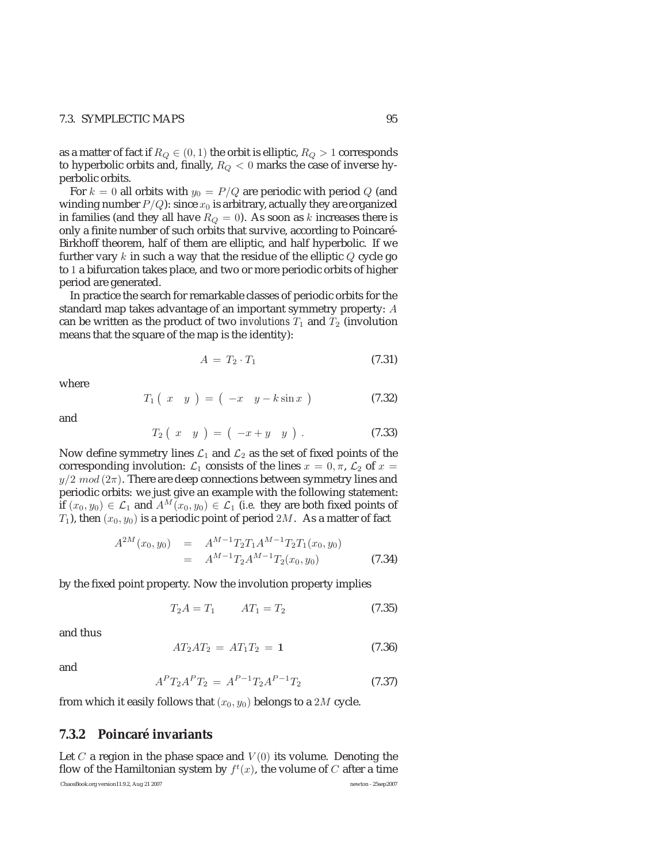### 7.3. SYMPLECTIC MAPS 95

as a matter of fact if  $R_Q \in (0, 1)$  the orbit is elliptic,  $R_Q > 1$  corresponds to hyperbolic orbits and, finally,  $R_Q < 0$  marks the case of inverse hyperbolic orbits.

For  $k = 0$  all orbits with  $y_0 = P/Q$  are periodic with period Q (and winding number  $P/Q$ ): since  $x_0$  is arbitrary, actually they are organized in families (and they all have  $R_Q=0\mathrm{.}$  As soon as  $k$  increases there is only a finite number of such orbits that survive, according to Poincaré-Birkhoff theorem, half of them are elliptic, and half hyperbolic. If we further vary  $k$  in such a way that the residue of the elliptic  $Q$  cycle go to 1 a bifurcation takes place, and two or more periodic orbits of higher period are generated.

In practice the search for remarkable classes of periodic orbits for the standard map takes advantage of an important symmetry property: A can be written as the product of two *involutions*  $T_1$  and  $T_2$  (involution means that the square of the map is the identity):

$$
A = T_2 \cdot T_1 \tag{7.31}
$$

where

$$
T_1\left(\begin{array}{cc} x & y \end{array}\right) \;=\; \left(\begin{array}{cc} -x & y - k\sin x \end{array}\right) \tag{7.32}
$$

and

$$
T_2\left(\begin{array}{cc} x & y \end{array}\right) = \left(\begin{array}{cc} -x + y & y \end{array}\right). \tag{7.33}
$$

Now define symmetry lines  $\mathcal{L}_1$  and  $\mathcal{L}_2$  as the set of fixed points of the corresponding involution:  $\mathcal{L}_1$  consists of the lines  $x = 0, \pi$ ,  $\mathcal{L}_2$  of  $x =$  $y/2 \mod (2\pi)$ . There are deep connections between symmetry lines and periodic orbits: we just give an example with the following statement: if  $(x_0, y_0) \in \mathcal{L}_1$  and  $A^M(x_0, y_0) \in \mathcal{L}_1$  (*i.e.* they are both fixed points of  $T_1$ ), then  $(x_0, y_0)$  is a periodic point of period  $2M$ . As a matter of fact

$$
A^{2M}(x_0, y_0) = A^{M-1} T_2 T_1 A^{M-1} T_2 T_1(x_0, y_0)
$$
  
=  $A^{M-1} T_2 A^{M-1} T_2(x_0, y_0)$  (7.34)

by the fixed point property. Now the involution property implies

$$
T_2 A = T_1 \qquad AT_1 = T_2 \tag{7.35}
$$

and thus

$$
AT_2AT_2 = AT_1T_2 = 1 \t\t(7.36)
$$

and

$$
A^P T_2 A^P T_2 = A^{P-1} T_2 A^{P-1} T_2 \tag{7.37}
$$

from which it easily follows that  $(x_0, y_0)$  belongs to a 2M cycle.

### **7.3.2 Poincaré invariants**

Let C a region in the phase space and  $V(0)$  its volume. Denoting the flow of the Hamiltonian system by  $f^t(x)$ , the volume of  $C$  after a time ChaosBook.org version11.9.2, Aug 21 2007 newton - 25sep2007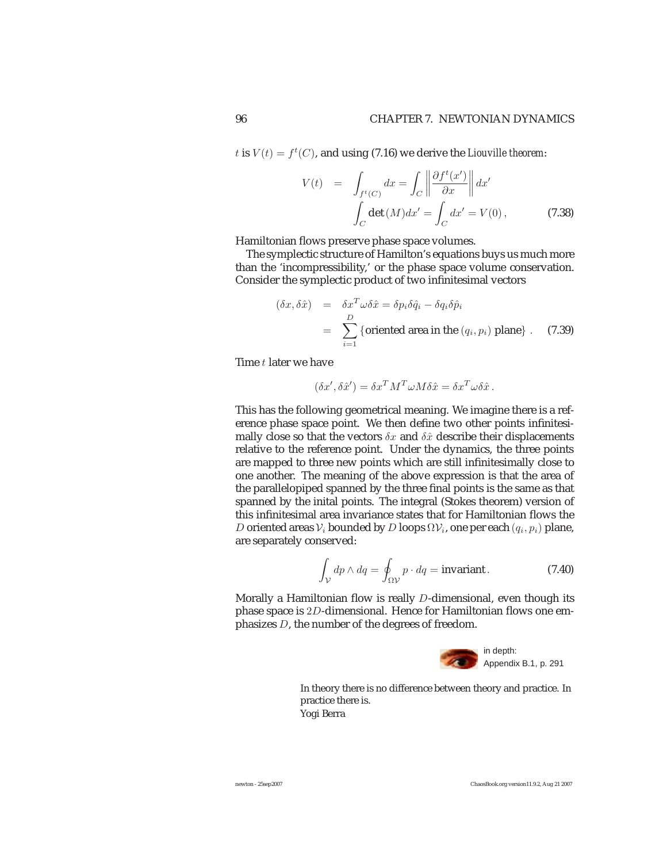t is  $V(t) = f<sup>t</sup>(C)$ , and using (7.16) we derive the *Liouville theorem*:

$$
V(t) = \int_{f^t(C)} dx = \int_C \left\| \frac{\partial f^t(x')}{\partial x} \right\| dx'
$$

$$
\int_C \det(M) dx' = \int_C dx' = V(0), \qquad (7.38)
$$

Hamiltonian flows preserve phase space volumes.

The symplectic structure of Hamilton's equations buys us much more than the 'incompressibility,' or the phase space volume conservation. Consider the symplectic product of two infinitesimal vectors

$$
(\delta x, \delta \hat{x}) = \delta x^T \omega \delta \hat{x} = \delta p_i \delta \hat{q}_i - \delta q_i \delta \hat{p}_i
$$
  
= 
$$
\sum_{i=1}^D \{\text{oriented area in the } (q_i, p_i) \text{ plane}\}.
$$
 (7.39)

Time t later we have

$$
(\delta x', \delta \hat{x}') = \delta x^T M^T \omega M \delta \hat{x} = \delta x^T \omega \delta \hat{x}.
$$

This has the following geometrical meaning. We imagine there is a reference phase space point. We then define two other points infinitesimally close so that the vectors  $\delta x$  and  $\delta \hat{x}$  describe their displacements relative to the reference point. Under the dynamics, the three points are mapped to three new points which are still infinitesimally close to one another. The meaning of the above expression is that the area of the parallelopiped spanned by the three final points is the same as that spanned by the inital points. The integral (Stokes theorem) version of this infinitesimal area invariance states that for Hamiltonian flows the D oriented areas  $V_i$  bounded by D loops  $\Omega V_i$ , one per each  $(q_i, p_i)$  plane, are separately conserved:

$$
\int_{\mathcal{V}} dp \wedge dq = \oint_{\Omega \mathcal{V}} p \cdot dq = \text{invariant} \,. \tag{7.40}
$$

Morally a Hamiltonian flow is really D-dimensional, even though its phase space is 2D-dimensional. Hence for Hamiltonian flows one emphasizes D, the number of the degrees of freedom.



In theory there is no difference between theory and practice. In practice there is. Yogi Berra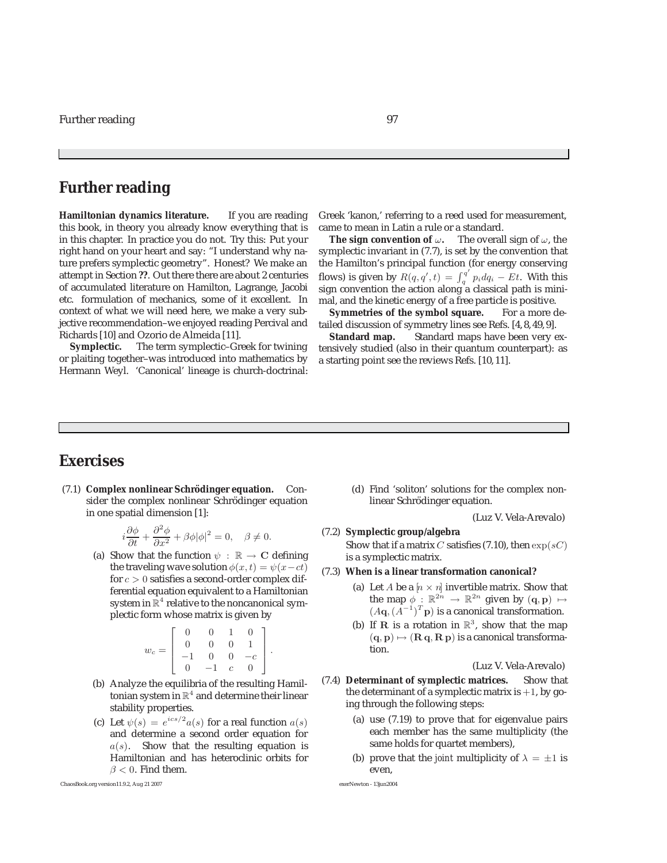# **Further reading**

**Hamiltonian dynamics literature.** If you are reading this book, in theory you already know everything that is in this chapter. In practice you do not. Try this: Put your right hand on your heart and say: "I understand why nature prefers symplectic geometry". Honest? We make an attempt in Section **??**. Out there there are about 2 centuries of accumulated literature on Hamilton, Lagrange, Jacobi etc. formulation of mechanics, some of it excellent. In context of what we will need here, we make a very subjective recommendation–we enjoyed reading Percival and Richards [10] and Ozorio de Almeida [11].

**Symplectic.** The term symplectic–Greek for twining or plaiting together–was introduced into mathematics by Hermann Weyl. 'Canonical' lineage is church-doctrinal:

Greek 'kanon,' referring to a reed used for measurement, came to mean in Latin a rule or a standard.

**The sign convention of**  $\omega$ **. The overall sign of**  $\omega$ **, the** symplectic invariant in (7.7), is set by the convention that the Hamilton's principal function (for energy conserving flows) is given by  $R(q, q', t) = \int_q^{q'} p_i dq_i - Et$ . With this sign convention the action along a classical path is minimal, and the kinetic energy of a free particle is positive.

**Symmetries of the symbol square.** For a more detailed discussion of symmetry lines see Refs. [4, 8, 49, 9].

**Standard map.** Standard maps have been very extensively studied (also in their quantum counterpart): as a starting point see the reviews Refs. [10, 11].

# **Exercises**

(7.1) **Complex nonlinear Schrödinger equation.** Consider the complex nonlinear Schrödinger equation in one spatial dimension [1]:

$$
i\frac{\partial \phi}{\partial t} + \frac{\partial^2 \phi}{\partial x^2} + \beta \phi |\phi|^2 = 0, \quad \beta \neq 0.
$$

(a) Show that the function  $\psi$  :  $\mathbb{R} \to \mathbb{C}$  defining the traveling wave solution  $\phi(x, t) = \psi(x-ct)$ for  $c > 0$  satisfies a second-order complex differential equation equivalent to a Hamiltonian system in  $\mathbb{R}^4$  relative to the noncanonical symplectic form whose matrix is given by

$$
w_c = \left[ \begin{array}{rrrr} 0 & 0 & 1 & 0 \\ 0 & 0 & 0 & 1 \\ -1 & 0 & 0 & -c \\ 0 & -1 & c & 0 \end{array} \right].
$$

- (b) Analyze the equilibria of the resulting Hamiltonian system in  $\mathbb{R}^4$  and determine their linear stability properties.
- (c) Let  $\psi(s) = e^{ics/2} a(s)$  for a real function  $a(s)$ and determine a second order equation for  $a(s)$ . Show that the resulting equation is Hamiltonian and has heteroclinic orbits for  $\beta$  < 0. Find them.

(d) Find 'soliton' solutions for the complex nonlinear Schrödinger equation.

(Luz V. Vela-Arevalo)

### (7.2) **Symplectic group/algebra**

Show that if a matrix C satisfies (7.10), then  $\exp(sC)$ is a symplectic matrix.

- (7.3) **When is a linear transformation canonical?**
	- (a) Let A be a  $[n \times n]$  invertible matrix. Show that<br>the man  $\phi : \mathbb{R}^{2n} \to \mathbb{R}^{2n}$  given by  $(a, n) \mapsto$ the map  $\phi : \mathbb{R}^{2n} \to \mathbb{R}^{2n}$  given by  $(q, p) \mapsto$ <br>(*Ag*  $(A^{-1})^T p$ ) is a canonical transformation  $(A\mathbf{q}, (A^{-1})^T \mathbf{p})$  is a canonical transformation.
	- (b) If **R** is a rotation in  $\mathbb{R}^3$ , show that the map  $({\bf q},{\bf p}) \mapsto ({\bf R}\,{\bf q},{\bf R}\,{\bf p})$  is a canonical transformation.

(Luz V. Vela-Arevalo)

- (7.4) **Determinant of symplectic matrices.** Show that the determinant of a symplectic matrix is  $+1$ , by going through the following steps:
	- (a) use (7.19) to prove that for eigenvalue pairs each member has the same multiplicity (the same holds for quartet members),
	- (b) prove that the *joint* multiplicity of  $\lambda = \pm 1$  is even,